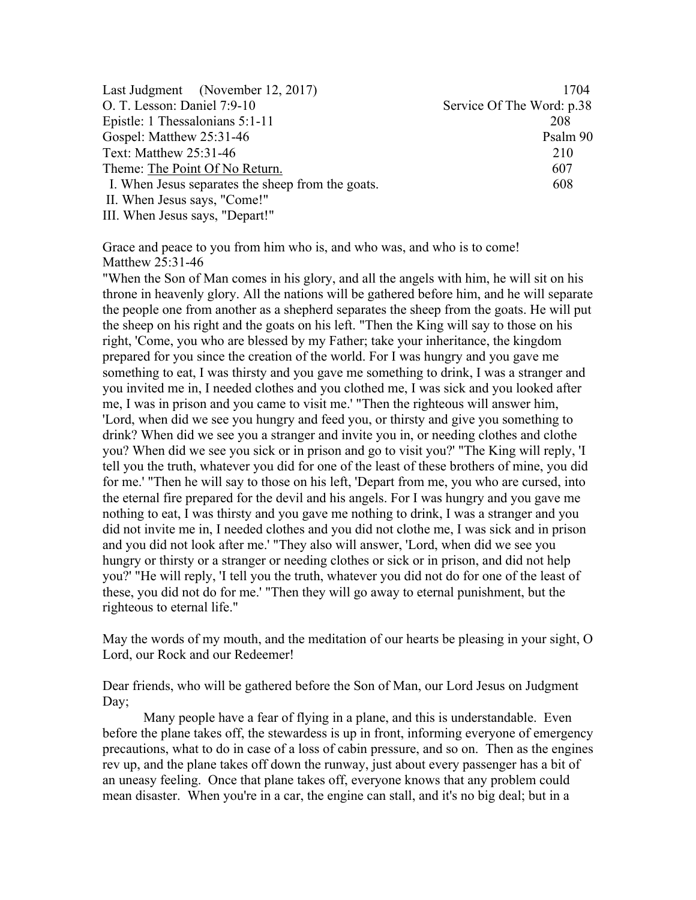| Last Judgment (November 12, 2017)                 | 1704                      |
|---------------------------------------------------|---------------------------|
| O. T. Lesson: Daniel 7:9-10                       | Service Of The Word: p.38 |
| Epistle: 1 Thessalonians 5:1-11                   | 208                       |
| Gospel: Matthew 25:31-46                          | Psalm 90                  |
| Text: Matthew 25:31-46                            | 210                       |
| Theme: The Point Of No Return.                    | 607                       |
| I. When Jesus separates the sheep from the goats. | 608                       |
| II. When Jesus says, "Come!"                      |                           |
| III. When Jesus says, "Depart!"                   |                           |

Grace and peace to you from him who is, and who was, and who is to come! Matthew 25:31-46

"When the Son of Man comes in his glory, and all the angels with him, he will sit on his throne in heavenly glory. All the nations will be gathered before him, and he will separate the people one from another as a shepherd separates the sheep from the goats. He will put the sheep on his right and the goats on his left. "Then the King will say to those on his right, 'Come, you who are blessed by my Father; take your inheritance, the kingdom prepared for you since the creation of the world. For I was hungry and you gave me something to eat, I was thirsty and you gave me something to drink, I was a stranger and you invited me in, I needed clothes and you clothed me, I was sick and you looked after me, I was in prison and you came to visit me.' "Then the righteous will answer him, 'Lord, when did we see you hungry and feed you, or thirsty and give you something to drink? When did we see you a stranger and invite you in, or needing clothes and clothe you? When did we see you sick or in prison and go to visit you?' "The King will reply, 'I tell you the truth, whatever you did for one of the least of these brothers of mine, you did for me.' "Then he will say to those on his left, 'Depart from me, you who are cursed, into the eternal fire prepared for the devil and his angels. For I was hungry and you gave me nothing to eat, I was thirsty and you gave me nothing to drink, I was a stranger and you did not invite me in, I needed clothes and you did not clothe me, I was sick and in prison and you did not look after me.' "They also will answer, 'Lord, when did we see you hungry or thirsty or a stranger or needing clothes or sick or in prison, and did not help you?' "He will reply, 'I tell you the truth, whatever you did not do for one of the least of these, you did not do for me.' "Then they will go away to eternal punishment, but the righteous to eternal life."

May the words of my mouth, and the meditation of our hearts be pleasing in your sight, O Lord, our Rock and our Redeemer!

Dear friends, who will be gathered before the Son of Man, our Lord Jesus on Judgment Day:

Many people have a fear of flying in a plane, and this is understandable. Even before the plane takes off, the stewardess is up in front, informing everyone of emergency precautions, what to do in case of a loss of cabin pressure, and so on. Then as the engines rev up, and the plane takes off down the runway, just about every passenger has a bit of an uneasy feeling. Once that plane takes off, everyone knows that any problem could mean disaster. When you're in a car, the engine can stall, and it's no big deal; but in a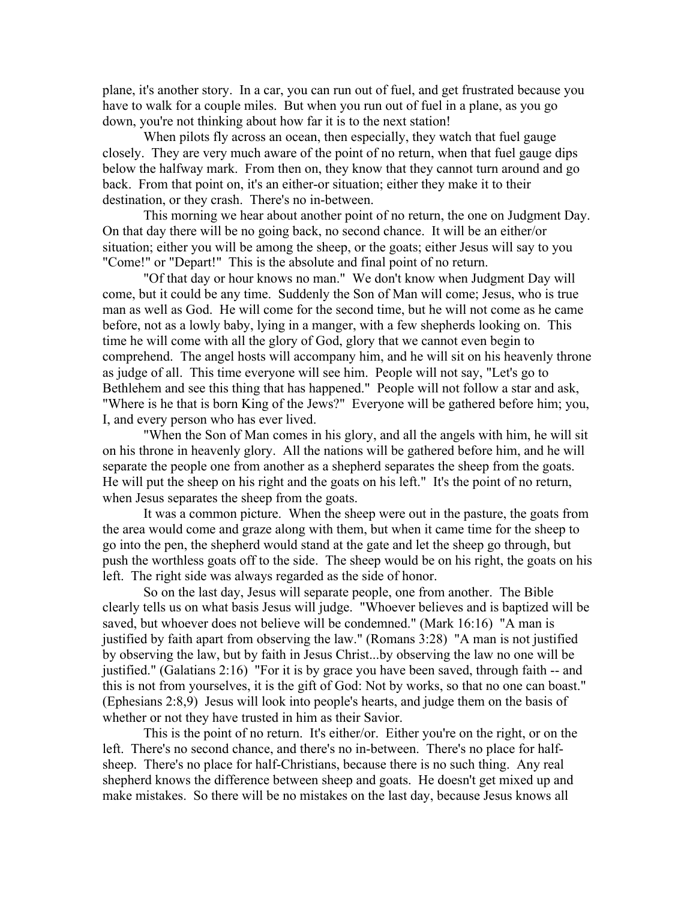plane, it's another story. In a car, you can run out of fuel, and get frustrated because you have to walk for a couple miles. But when you run out of fuel in a plane, as you go down, you're not thinking about how far it is to the next station!

When pilots fly across an ocean, then especially, they watch that fuel gauge closely. They are very much aware of the point of no return, when that fuel gauge dips below the halfway mark. From then on, they know that they cannot turn around and go back. From that point on, it's an either-or situation; either they make it to their destination, or they crash. There's no in-between.

This morning we hear about another point of no return, the one on Judgment Day. On that day there will be no going back, no second chance. It will be an either/or situation; either you will be among the sheep, or the goats; either Jesus will say to you "Come!" or "Depart!" This is the absolute and final point of no return.

"Of that day or hour knows no man." We don't know when Judgment Day will come, but it could be any time. Suddenly the Son of Man will come; Jesus, who is true man as well as God. He will come for the second time, but he will not come as he came before, not as a lowly baby, lying in a manger, with a few shepherds looking on. This time he will come with all the glory of God, glory that we cannot even begin to comprehend. The angel hosts will accompany him, and he will sit on his heavenly throne as judge of all. This time everyone will see him. People will not say, "Let's go to Bethlehem and see this thing that has happened." People will not follow a star and ask, "Where is he that is born King of the Jews?" Everyone will be gathered before him; you, I, and every person who has ever lived.

"When the Son of Man comes in his glory, and all the angels with him, he will sit on his throne in heavenly glory. All the nations will be gathered before him, and he will separate the people one from another as a shepherd separates the sheep from the goats. He will put the sheep on his right and the goats on his left." It's the point of no return, when Jesus separates the sheep from the goats.

It was a common picture. When the sheep were out in the pasture, the goats from the area would come and graze along with them, but when it came time for the sheep to go into the pen, the shepherd would stand at the gate and let the sheep go through, but push the worthless goats off to the side. The sheep would be on his right, the goats on his left. The right side was always regarded as the side of honor.

So on the last day, Jesus will separate people, one from another. The Bible clearly tells us on what basis Jesus will judge. "Whoever believes and is baptized will be saved, but whoever does not believe will be condemned." (Mark 16:16) "A man is justified by faith apart from observing the law." (Romans 3:28) "A man is not justified by observing the law, but by faith in Jesus Christ...by observing the law no one will be justified." (Galatians 2:16) "For it is by grace you have been saved, through faith -- and this is not from yourselves, it is the gift of God: Not by works, so that no one can boast." (Ephesians 2:8,9) Jesus will look into people's hearts, and judge them on the basis of whether or not they have trusted in him as their Savior.

This is the point of no return. It's either/or. Either you're on the right, or on the left. There's no second chance, and there's no in-between. There's no place for halfsheep. There's no place for half-Christians, because there is no such thing. Any real shepherd knows the difference between sheep and goats. He doesn't get mixed up and make mistakes. So there will be no mistakes on the last day, because Jesus knows all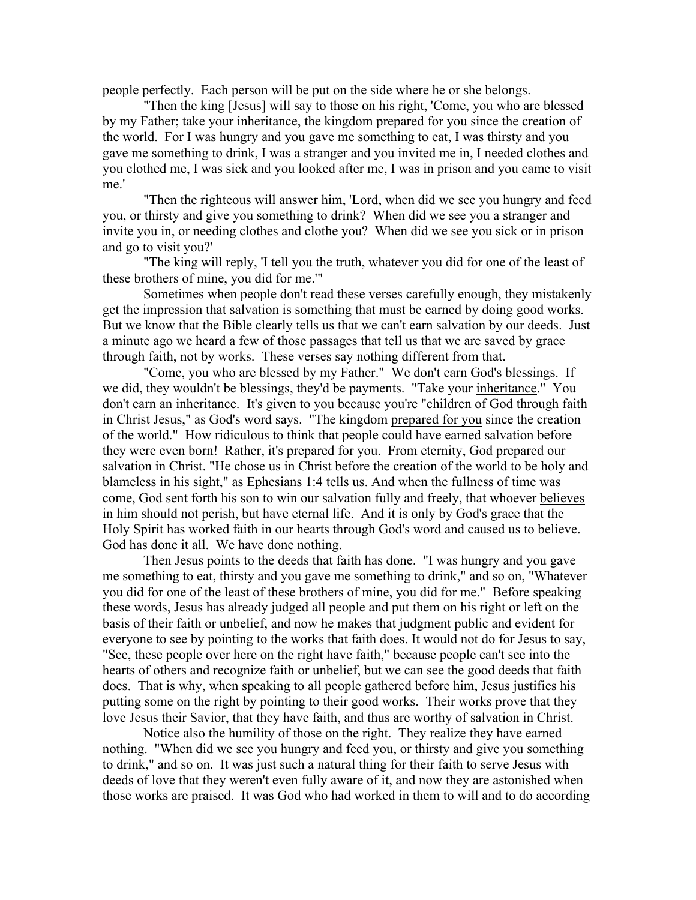people perfectly. Each person will be put on the side where he or she belongs.

"Then the king [Jesus] will say to those on his right, 'Come, you who are blessed by my Father; take your inheritance, the kingdom prepared for you since the creation of the world. For I was hungry and you gave me something to eat, I was thirsty and you gave me something to drink, I was a stranger and you invited me in, I needed clothes and you clothed me, I was sick and you looked after me, I was in prison and you came to visit me.'

"Then the righteous will answer him, 'Lord, when did we see you hungry and feed you, or thirsty and give you something to drink? When did we see you a stranger and invite you in, or needing clothes and clothe you? When did we see you sick or in prison and go to visit you?'

"The king will reply, 'I tell you the truth, whatever you did for one of the least of these brothers of mine, you did for me.'"

Sometimes when people don't read these verses carefully enough, they mistakenly get the impression that salvation is something that must be earned by doing good works. But we know that the Bible clearly tells us that we can't earn salvation by our deeds. Just a minute ago we heard a few of those passages that tell us that we are saved by grace through faith, not by works. These verses say nothing different from that.

"Come, you who are blessed by my Father." We don't earn God's blessings. If we did, they wouldn't be blessings, they'd be payments. "Take your inheritance." You don't earn an inheritance. It's given to you because you're "children of God through faith in Christ Jesus," as God's word says. "The kingdom prepared for you since the creation of the world." How ridiculous to think that people could have earned salvation before they were even born! Rather, it's prepared for you. From eternity, God prepared our salvation in Christ. "He chose us in Christ before the creation of the world to be holy and blameless in his sight," as Ephesians 1:4 tells us. And when the fullness of time was come, God sent forth his son to win our salvation fully and freely, that whoever believes in him should not perish, but have eternal life. And it is only by God's grace that the Holy Spirit has worked faith in our hearts through God's word and caused us to believe. God has done it all. We have done nothing.

Then Jesus points to the deeds that faith has done. "I was hungry and you gave me something to eat, thirsty and you gave me something to drink," and so on, "Whatever you did for one of the least of these brothers of mine, you did for me." Before speaking these words, Jesus has already judged all people and put them on his right or left on the basis of their faith or unbelief, and now he makes that judgment public and evident for everyone to see by pointing to the works that faith does. It would not do for Jesus to say, "See, these people over here on the right have faith," because people can't see into the hearts of others and recognize faith or unbelief, but we can see the good deeds that faith does. That is why, when speaking to all people gathered before him, Jesus justifies his putting some on the right by pointing to their good works. Their works prove that they love Jesus their Savior, that they have faith, and thus are worthy of salvation in Christ.

Notice also the humility of those on the right. They realize they have earned nothing. "When did we see you hungry and feed you, or thirsty and give you something to drink," and so on. It was just such a natural thing for their faith to serve Jesus with deeds of love that they weren't even fully aware of it, and now they are astonished when those works are praised. It was God who had worked in them to will and to do according